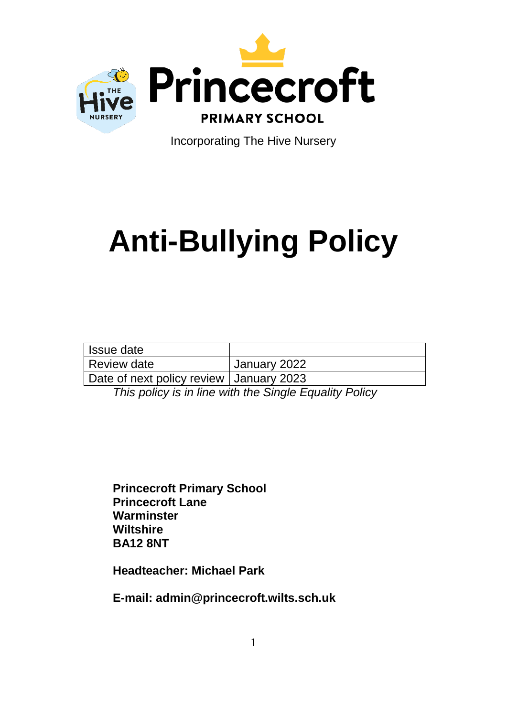

Incorporating The Hive Nursery

# **Anti-Bullying Policy**

| Issue date                                |              |
|-------------------------------------------|--------------|
| Review date                               | January 2022 |
| Date of next policy review   January 2023 |              |

*This policy is in line with the Single Equality Policy*

**Princecroft Primary School Princecroft Lane Warminster Wiltshire BA12 8NT**

**Headteacher: Michael Park**

**E-mail: admin@princecroft.wilts.sch.uk**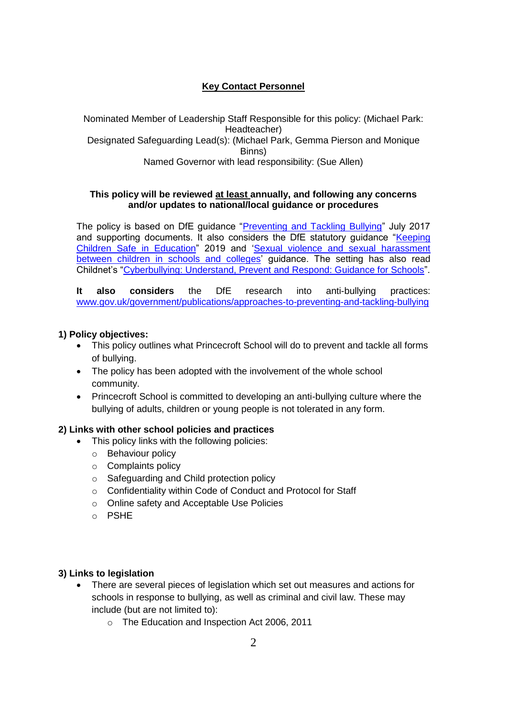# **Key Contact Personnel**

Nominated Member of Leadership Staff Responsible for this policy: (Michael Park: Headteacher) Designated Safeguarding Lead(s): (Michael Park, Gemma Pierson and Monique Binns) Named Governor with lead responsibility: (Sue Allen)

#### **This policy will be reviewed at least annually, and following any concerns and/or updates to national/local guidance or procedures**

The policy is based on DfE guidance ["Preventing and Tackling Bullying"](file://princecroftfs1.pps.local/../AssitA01/AppData/Local/Microsoft/Windows/Temporary%20Internet%20Files/Content.Outlook/ZQ0RB9FM/•%09https:/www.gov.uk/government/publications/preventing-and-tackling-bullying) July 2017 and supporting documents. It also considers the DfE statutory guidance ["Keeping](https://www.gov.uk/government/publications/keeping-children-safe-in-education--2)  [Children Safe](https://www.gov.uk/government/publications/keeping-children-safe-in-education--2) in Education" 2019 and 'Sexual violence and sexual harassment [between children in schools and colleges'](https://www.gov.uk/government/publications/sexual-violence-and-sexual-harassment-between-children-in-schools-and-colleges) guidance. The setting has also read Childnet's ["Cyberbullying: Understand, Prevent and Respond: Guidance for Schools"](file://princecroftfs1.pps.local/../AssitA01/AppData/Local/Microsoft/Windows/Temporary%20Internet%20Files/Content.Outlook/ZQ0RB9FM/www.childnet.com/resources/cyberbullying-guidance-for-schools).

**It also considers** the DfE research into anti-bullying practices: [www.gov.uk/government/publications/approaches-to-preventing-and-tackling-bullying](http://www.gov.uk/government/publications/approaches-to-preventing-and-tackling-bullying)

## **1) Policy objectives:**

- This policy outlines what Princecroft School will do to prevent and tackle all forms of bullying.
- The policy has been adopted with the involvement of the whole school community.
- Princecroft School is committed to developing an anti-bullying culture where the bullying of adults, children or young people is not tolerated in any form.

# **2) Links with other school policies and practices**

- This policy links with the following policies:
	- o Behaviour policy
	- o Complaints policy
	- o Safeguarding and Child protection policy
	- o Confidentiality within Code of Conduct and Protocol for Staff
	- o Online safety and Acceptable Use Policies
	- o PSHE

## **3) Links to legislation**

- There are several pieces of legislation which set out measures and actions for schools in response to bullying, as well as criminal and civil law. These may include (but are not limited to):
	- o The Education and Inspection Act 2006, 2011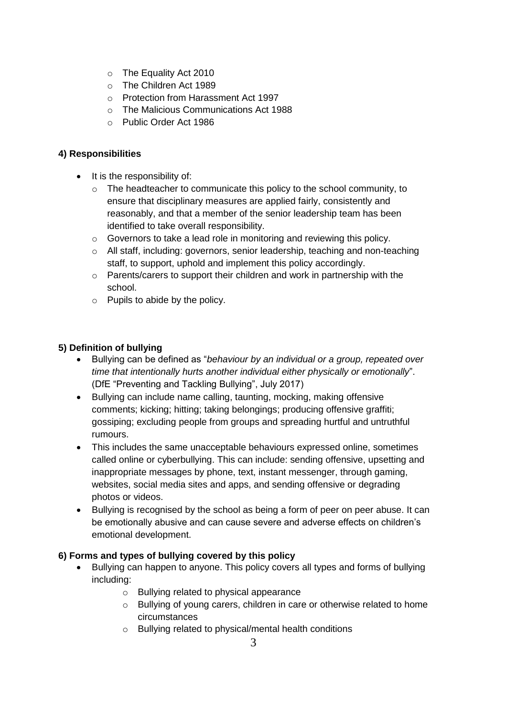- o The Equality Act 2010
- o The Children Act 1989
- o Protection from Harassment Act 1997
- o The Malicious Communications Act 1988
- o Public Order Act 1986

## **4) Responsibilities**

- $\bullet$  It is the responsibility of:
	- $\circ$  The headteacher to communicate this policy to the school community, to ensure that disciplinary measures are applied fairly, consistently and reasonably, and that a member of the senior leadership team has been identified to take overall responsibility.
	- o Governors to take a lead role in monitoring and reviewing this policy.
	- $\circ$  All staff, including: governors, senior leadership, teaching and non-teaching staff, to support, uphold and implement this policy accordingly.
	- o Parents/carers to support their children and work in partnership with the school.
	- o Pupils to abide by the policy.

# **5) Definition of bullying**

- Bullying can be defined as "*behaviour by an individual or a group, repeated over time that intentionally hurts another individual either physically or emotionally*". (DfE "Preventing and Tackling Bullying", July 2017)
- Bullying can include name calling, taunting, mocking, making offensive comments; kicking; hitting; taking belongings; producing offensive graffiti; gossiping; excluding people from groups and spreading hurtful and untruthful rumours.
- This includes the same unacceptable behaviours expressed online, sometimes called online or cyberbullying. This can include: sending offensive, upsetting and inappropriate messages by phone, text, instant messenger, through gaming, websites, social media sites and apps, and sending offensive or degrading photos or videos.
- Bullying is recognised by the school as being a form of peer on peer abuse. It can be emotionally abusive and can cause severe and adverse effects on children's emotional development.

# **6) Forms and types of bullying covered by this policy**

- Bullying can happen to anyone. This policy covers all types and forms of bullying including:
	- o Bullying related to physical appearance
	- o Bullying of young carers, children in care or otherwise related to home circumstances
	- o Bullying related to physical/mental health conditions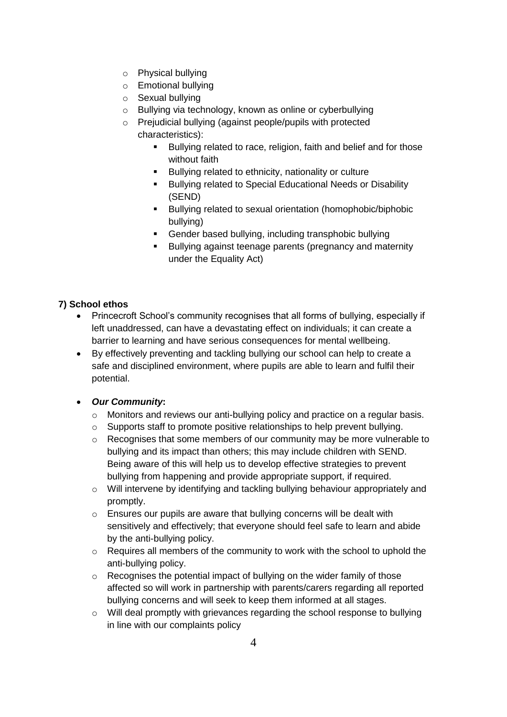- o Physical bullying
- o Emotional bullying
- o Sexual bullying
- o Bullying via technology, known as online or cyberbullying
- o Prejudicial bullying (against people/pupils with protected characteristics):
	- Bullying related to race, religion, faith and belief and for those without faith
	- **Bullying related to ethnicity, nationality or culture**
	- **Bullying related to Special Educational Needs or Disability** (SEND)
	- Bullying related to sexual orientation (homophobic/biphobic bullying)
	- Gender based bullying, including transphobic bullying
	- **Bullying against teenage parents (pregnancy and maternity** under the Equality Act)

# **7) School ethos**

- Princecroft School's community recognises that all forms of bullying, especially if left unaddressed, can have a devastating effect on individuals; it can create a barrier to learning and have serious consequences for mental wellbeing.
- By effectively preventing and tackling bullying our school can help to create a safe and disciplined environment, where pupils are able to learn and fulfil their potential.
- *Our Community***:**
	- o Monitors and reviews our anti-bullying policy and practice on a regular basis.
	- o Supports staff to promote positive relationships to help prevent bullying.
	- $\circ$  Recognises that some members of our community may be more vulnerable to bullying and its impact than others; this may include children with SEND. Being aware of this will help us to develop effective strategies to prevent bullying from happening and provide appropriate support, if required.
	- o Will intervene by identifying and tackling bullying behaviour appropriately and promptly.
	- o Ensures our pupils are aware that bullying concerns will be dealt with sensitively and effectively; that everyone should feel safe to learn and abide by the anti-bullying policy.
	- o Requires all members of the community to work with the school to uphold the anti-bullying policy.
	- o Recognises the potential impact of bullying on the wider family of those affected so will work in partnership with parents/carers regarding all reported bullying concerns and will seek to keep them informed at all stages.
	- $\circ$  Will deal promptly with grievances regarding the school response to bullying in line with our complaints policy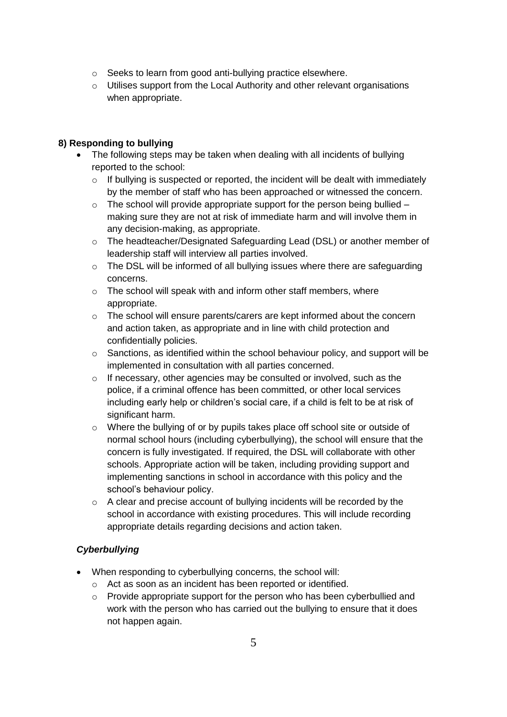- o Seeks to learn from good anti-bullying practice elsewhere.
- o Utilises support from the Local Authority and other relevant organisations when appropriate.

## **8) Responding to bullying**

- The following steps may be taken when dealing with all incidents of bullying reported to the school:
	- o If bullying is suspected or reported, the incident will be dealt with immediately by the member of staff who has been approached or witnessed the concern.
	- $\circ$  The school will provide appropriate support for the person being bullied making sure they are not at risk of immediate harm and will involve them in any decision-making, as appropriate.
	- o The headteacher/Designated Safeguarding Lead (DSL) or another member of leadership staff will interview all parties involved.
	- $\circ$  The DSL will be informed of all bullying issues where there are safeguarding concerns.
	- o The school will speak with and inform other staff members, where appropriate.
	- $\circ$  The school will ensure parents/carers are kept informed about the concern and action taken, as appropriate and in line with child protection and confidentially policies.
	- $\circ$  Sanctions, as identified within the school behaviour policy, and support will be implemented in consultation with all parties concerned.
	- o If necessary, other agencies may be consulted or involved, such as the police, if a criminal offence has been committed, or other local services including early help or children's social care, if a child is felt to be at risk of significant harm.
	- $\circ$  Where the bullying of or by pupils takes place off school site or outside of normal school hours (including cyberbullying), the school will ensure that the concern is fully investigated. If required, the DSL will collaborate with other schools. Appropriate action will be taken, including providing support and implementing sanctions in school in accordance with this policy and the school's behaviour policy.
	- o A clear and precise account of bullying incidents will be recorded by the school in accordance with existing procedures. This will include recording appropriate details regarding decisions and action taken.

# *Cyberbullying*

- When responding to cyberbullying concerns, the school will:
	- o Act as soon as an incident has been reported or identified.
	- $\circ$  Provide appropriate support for the person who has been cyberbullied and work with the person who has carried out the bullying to ensure that it does not happen again.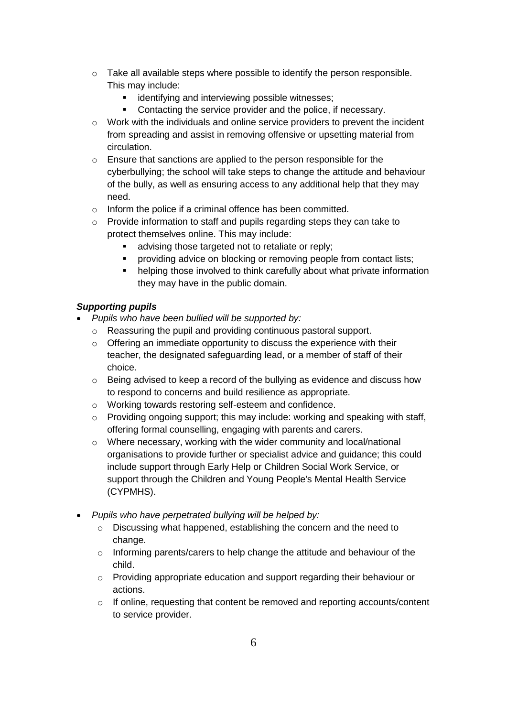- $\circ$  Take all available steps where possible to identify the person responsible. This may include:
	- **EXECTE identifying and interviewing possible witnesses;**
	- **Contacting the service provider and the police, if necessary.**
- $\circ$  Work with the individuals and online service providers to prevent the incident from spreading and assist in removing offensive or upsetting material from circulation.
- $\circ$  Ensure that sanctions are applied to the person responsible for the cyberbullying; the school will take steps to change the attitude and behaviour of the bully, as well as ensuring access to any additional help that they may need.
- o Inform the police if a criminal offence has been committed.
- o Provide information to staff and pupils regarding steps they can take to protect themselves online. This may include:
	- **advising those targeted not to retaliate or reply;**
	- **•** providing advice on blocking or removing people from contact lists;
	- helping those involved to think carefully about what private information they may have in the public domain.

## *Supporting pupils*

- *Pupils who have been bullied will be supported by:*
	- o Reassuring the pupil and providing continuous pastoral support.
	- o Offering an immediate opportunity to discuss the experience with their teacher, the designated safeguarding lead, or a member of staff of their choice.
	- o Being advised to keep a record of the bullying as evidence and discuss how to respond to concerns and build resilience as appropriate.
	- o Working towards restoring self-esteem and confidence.
	- o Providing ongoing support; this may include: working and speaking with staff, offering formal counselling, engaging with parents and carers.
	- o Where necessary, working with the wider community and local/national organisations to provide further or specialist advice and guidance; this could include support through Early Help or Children Social Work Service, or support through the Children and Young People's Mental Health Service (CYPMHS).
- *Pupils who have perpetrated bullying will be helped by:*
	- o Discussing what happened, establishing the concern and the need to change.
	- o Informing parents/carers to help change the attitude and behaviour of the child.
	- o Providing appropriate education and support regarding their behaviour or actions.
	- $\circ$  If online, requesting that content be removed and reporting accounts/content to service provider.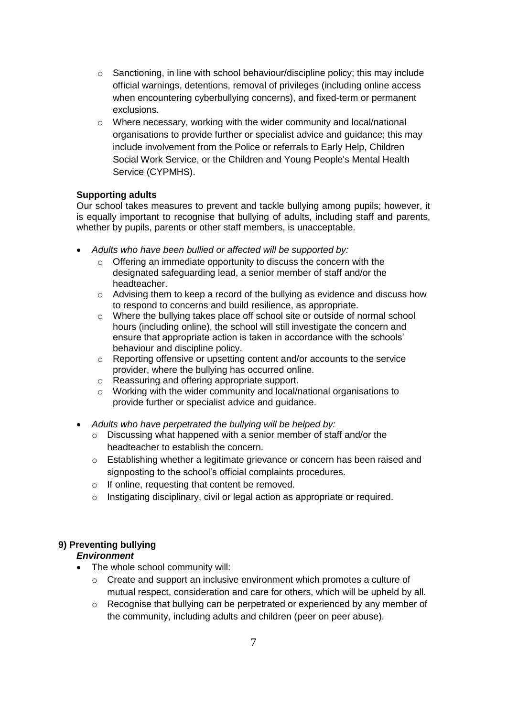- $\circ$  Sanctioning, in line with school behaviour/discipline policy; this may include official warnings, detentions, removal of privileges (including online access when encountering cyberbullying concerns), and fixed-term or permanent exclusions.
- o Where necessary, working with the wider community and local/national organisations to provide further or specialist advice and guidance; this may include involvement from the Police or referrals to Early Help, Children Social Work Service, or the Children and Young People's Mental Health Service (CYPMHS).

#### **Supporting adults**

Our school takes measures to prevent and tackle bullying among pupils; however, it is equally important to recognise that bullying of adults, including staff and parents, whether by pupils, parents or other staff members, is unacceptable.

- *Adults who have been bullied or affected will be supported by:*
	- $\circ$  Offering an immediate opportunity to discuss the concern with the designated safeguarding lead, a senior member of staff and/or the headteacher.
	- $\circ$  Advising them to keep a record of the bullying as evidence and discuss how to respond to concerns and build resilience, as appropriate.
	- o Where the bullying takes place off school site or outside of normal school hours (including online), the school will still investigate the concern and ensure that appropriate action is taken in accordance with the schools' behaviour and discipline policy.
	- o Reporting offensive or upsetting content and/or accounts to the service provider, where the bullying has occurred online.
	- o Reassuring and offering appropriate support.
	- o Working with the wider community and local/national organisations to provide further or specialist advice and guidance.
- *Adults who have perpetrated the bullying will be helped by:*
	- $\circ$  Discussing what happened with a senior member of staff and/or the headteacher to establish the concern.
	- o Establishing whether a legitimate grievance or concern has been raised and signposting to the school's official complaints procedures.
	- o If online, requesting that content be removed.
	- o Instigating disciplinary, civil or legal action as appropriate or required.

# **9) Preventing bullying**

## *Environment*

- The whole school community will:
	- $\circ$  Create and support an inclusive environment which promotes a culture of mutual respect, consideration and care for others, which will be upheld by all.
	- $\circ$  Recognise that bullying can be perpetrated or experienced by any member of the community, including adults and children (peer on peer abuse).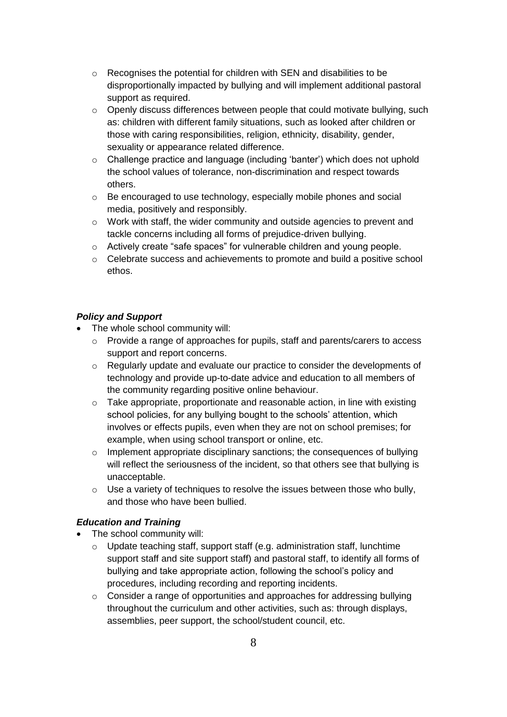- o Recognises the potential for children with SEN and disabilities to be disproportionally impacted by bullying and will implement additional pastoral support as required.
- $\circ$  Openly discuss differences between people that could motivate bullying, such as: children with different family situations, such as looked after children or those with caring responsibilities, religion, ethnicity, disability, gender, sexuality or appearance related difference.
- $\circ$  Challenge practice and language (including 'banter') which does not uphold the school values of tolerance, non-discrimination and respect towards others.
- o Be encouraged to use technology, especially mobile phones and social media, positively and responsibly.
- $\circ$  Work with staff, the wider community and outside agencies to prevent and tackle concerns including all forms of prejudice-driven bullying.
- o Actively create "safe spaces" for vulnerable children and young people.
- o Celebrate success and achievements to promote and build a positive school ethos.

#### *Policy and Support*

- The whole school community will:
	- $\circ$  Provide a range of approaches for pupils, staff and parents/carers to access support and report concerns.
	- $\circ$  Regularly update and evaluate our practice to consider the developments of technology and provide up-to-date advice and education to all members of the community regarding positive online behaviour.
	- $\circ$  Take appropriate, proportionate and reasonable action, in line with existing school policies, for any bullying bought to the schools' attention, which involves or effects pupils, even when they are not on school premises; for example, when using school transport or online, etc.
	- o Implement appropriate disciplinary sanctions; the consequences of bullying will reflect the seriousness of the incident, so that others see that bullying is unacceptable.
	- o Use a variety of techniques to resolve the issues between those who bully, and those who have been bullied.

#### *Education and Training*

- The school community will:
	- o Update teaching staff, support staff (e.g. administration staff, lunchtime support staff and site support staff) and pastoral staff, to identify all forms of bullying and take appropriate action, following the school's policy and procedures, including recording and reporting incidents.
	- o Consider a range of opportunities and approaches for addressing bullying throughout the curriculum and other activities, such as: through displays, assemblies, peer support, the school/student council, etc.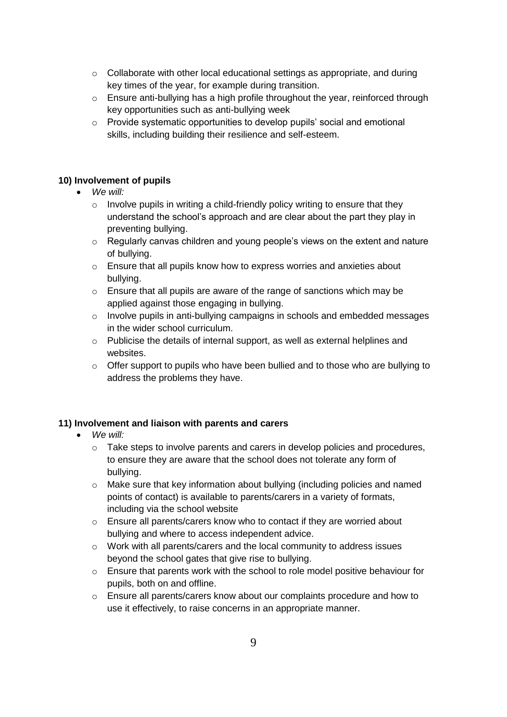- $\circ$  Collaborate with other local educational settings as appropriate, and during key times of the year, for example during transition.
- o Ensure anti-bullying has a high profile throughout the year, reinforced through key opportunities such as anti-bullying week
- o Provide systematic opportunities to develop pupils' social and emotional skills, including building their resilience and self-esteem.

#### **10) Involvement of pupils**

#### *We will:*

- $\circ$  Involve pupils in writing a child-friendly policy writing to ensure that they understand the school's approach and are clear about the part they play in preventing bullying.
- o Regularly canvas children and young people's views on the extent and nature of bullying.
- o Ensure that all pupils know how to express worries and anxieties about bullying.
- $\circ$  Ensure that all pupils are aware of the range of sanctions which may be applied against those engaging in bullying.
- $\circ$  Involve pupils in anti-bullying campaigns in schools and embedded messages in the wider school curriculum.
- $\circ$  Publicise the details of internal support, as well as external helplines and websites.
- $\circ$  Offer support to pupils who have been bullied and to those who are bullying to address the problems they have.

## **11) Involvement and liaison with parents and carers**

## *We will:*

- $\circ$  Take steps to involve parents and carers in develop policies and procedures, to ensure they are aware that the school does not tolerate any form of bullying.
- $\circ$  Make sure that key information about bullying (including policies and named points of contact) is available to parents/carers in a variety of formats, including via the school website
- o Ensure all parents/carers know who to contact if they are worried about bullying and where to access independent advice.
- o Work with all parents/carers and the local community to address issues beyond the school gates that give rise to bullying.
- o Ensure that parents work with the school to role model positive behaviour for pupils, both on and offline.
- o Ensure all parents/carers know about our complaints procedure and how to use it effectively, to raise concerns in an appropriate manner.